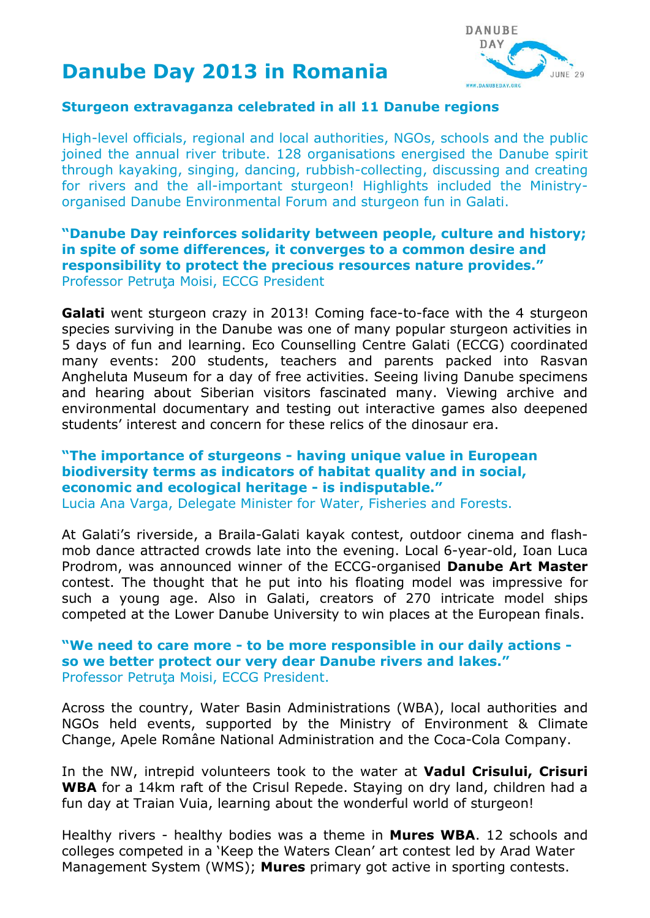# **Danube Day 2013 in Romania**



## **Sturgeon extravaganza celebrated in all 11 Danube regions**

High-level officials, regional and local authorities, NGOs, schools and the public joined the annual river tribute. 128 organisations energised the Danube spirit through kayaking, singing, dancing, rubbish-collecting, discussing and creating for rivers and the all-important sturgeon! Highlights included the Ministryorganised Danube Environmental Forum and sturgeon fun in Galati.

## **"Danube Day reinforces solidarity between people, culture and history; in spite of some differences, it converges to a common desire and responsibility to protect the precious resources nature provides."** Professor Petruţa Moisi, ECCG President

**Galati** went sturgeon crazy in 2013! Coming face-to-face with the 4 sturgeon species surviving in the Danube was one of many popular sturgeon activities in 5 days of fun and learning. Eco Counselling Centre Galati (ECCG) coordinated many events: 200 students, teachers and parents packed into Rasvan Angheluta Museum for a day of free activities. Seeing living Danube specimens and hearing about Siberian visitors fascinated many. Viewing archive and environmental documentary and testing out interactive games also deepened students' interest and concern for these relics of the dinosaur era.

## **"The importance of sturgeons - having unique value in European biodiversity terms as indicators of habitat quality and in social, economic and ecological heritage - is indisputable."**

Lucia Ana Varga, Delegate Minister for Water, Fisheries and Forests.

At Galati's riverside, a Braila-Galati kayak contest, outdoor cinema and flashmob dance attracted crowds late into the evening. Local 6-year-old, Ioan Luca Prodrom, was announced winner of the ECCG-organised **Danube Art Master**  contest. The thought that he put into his floating model was impressive for such a young age. Also in Galati, creators of 270 intricate model ships competed at the Lower Danube University to win places at the European finals.

### **"We need to care more - to be more responsible in our daily actions so we better protect our very dear Danube rivers and lakes."** Professor Petruţa Moisi, ECCG President.

Across the country, Water Basin Administrations (WBA), local authorities and NGOs held events, supported by the Ministry of Environment & Climate Change, Apele Române National Administration and the Coca-Cola Company.

In the NW, intrepid volunteers took to the water at **Vadul Crisului, Crisuri WBA** for a 14km raft of the Crisul Repede. Staying on dry land, children had a fun day at Traian Vuia, learning about the wonderful world of sturgeon!

Healthy rivers - healthy bodies was a theme in **Mures WBA**. 12 schools and colleges competed in a 'Keep the Waters Clean' art contest led by Arad Water Management System (WMS); **Mures** primary got active in sporting contests.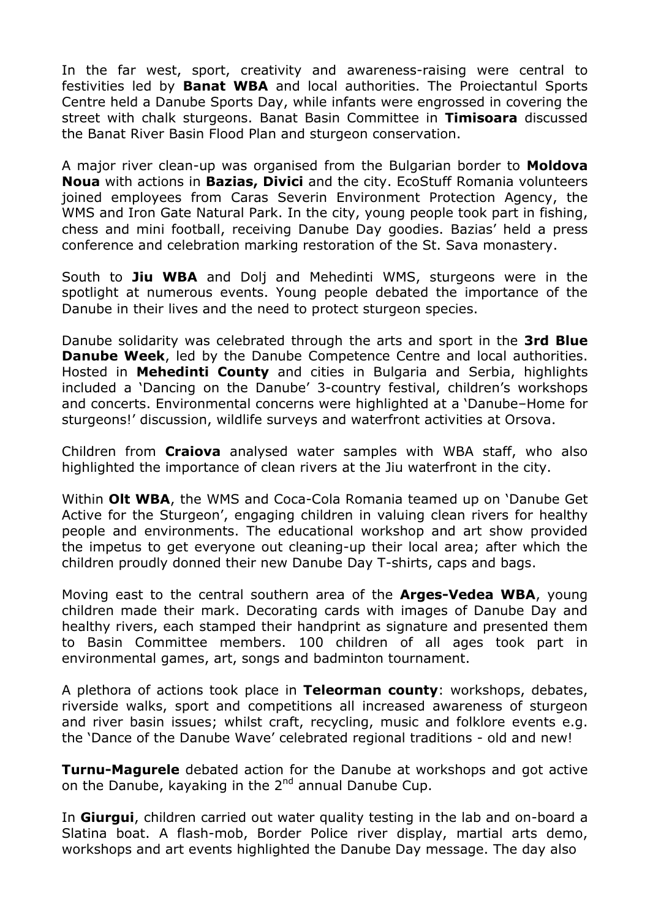In the far west, sport, creativity and awareness-raising were central to festivities led by **Banat WBA** and local authorities. The Proiectantul Sports Centre held a Danube Sports Day, while infants were engrossed in covering the street with chalk sturgeons. Banat Basin Committee in **Timisoara** discussed the Banat River Basin Flood Plan and sturgeon conservation.

A major river clean-up was organised from the Bulgarian border to **Moldova Noua** with actions in **Bazias, Divici** and the city. EcoStuff Romania volunteers joined employees from Caras Severin Environment Protection Agency, the WMS and Iron Gate Natural Park. In the city, young people took part in fishing, chess and mini football, receiving Danube Day goodies. Bazias' held a press conference and celebration marking restoration of the St. Sava monastery.

South to **Jiu WBA** and Dolj and Mehedinti WMS, sturgeons were in the spotlight at numerous events. Young people debated the importance of the Danube in their lives and the need to protect sturgeon species.

Danube solidarity was celebrated through the arts and sport in the **3rd Blue Danube Week**, led by the Danube Competence Centre and local authorities. Hosted in **Mehedinti County** and cities in Bulgaria and Serbia, highlights included a 'Dancing on the Danube' 3-country festival, children's workshops and concerts. Environmental concerns were highlighted at a 'Danube–Home for sturgeons!' discussion, wildlife surveys and waterfront activities at Orsova.

Children from **Craiova** analysed water samples with WBA staff, who also highlighted the importance of clean rivers at the Jiu waterfront in the city.

Within **Olt WBA**, the WMS and Coca-Cola Romania teamed up on 'Danube Get Active for the Sturgeon', engaging children in valuing clean rivers for healthy people and environments. The educational workshop and art show provided the impetus to get everyone out cleaning-up their local area; after which the children proudly donned their new Danube Day T-shirts, caps and bags.

Moving east to the central southern area of the **Arges-Vedea WBA**, young children made their mark. Decorating cards with images of Danube Day and healthy rivers, each stamped their handprint as signature and presented them to Basin Committee members. 100 children of all ages took part in environmental games, art, songs and badminton tournament.

A plethora of actions took place in **Teleorman county**: workshops, debates, riverside walks, sport and competitions all increased awareness of sturgeon and river basin issues; whilst craft, recycling, music and folklore events e.g. the 'Dance of the Danube Wave' celebrated regional traditions - old and new!

**Turnu-Magurele** debated action for the Danube at workshops and got active on the Danube, kayaking in the  $2^{nd}$  annual Danube Cup.

In **Giurgui**, children carried out water quality testing in the lab and on-board a Slatina boat. A flash-mob, Border Police river display, martial arts demo, workshops and art events highlighted the Danube Day message. The day also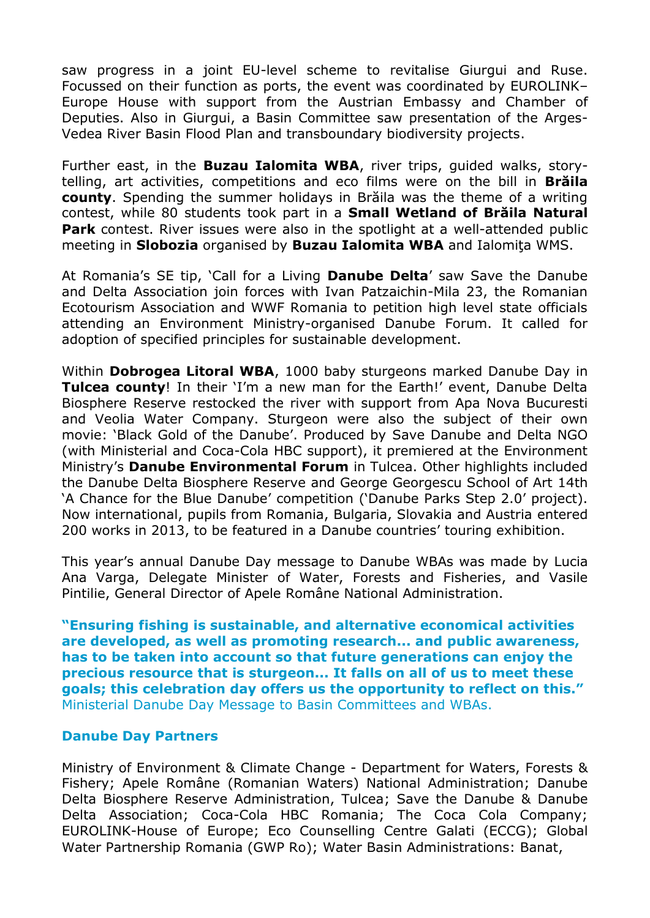saw progress in a joint EU-level scheme to revitalise Giurgui and Ruse. Focussed on their function as ports, the event was coordinated by EUROLINK– Europe House with support from the Austrian Embassy and Chamber of Deputies. Also in Giurgui, a Basin Committee saw presentation of the Arges-Vedea River Basin Flood Plan and transboundary biodiversity projects.

Further east, in the **Buzau Ialomita WBA**, river trips, guided walks, storytelling, art activities, competitions and eco films were on the bill in **Brăila county**. Spending the summer holidays in Brăila was the theme of a writing contest, while 80 students took part in a **Small Wetland of Brăila Natural Park** contest. River issues were also in the spotlight at a well-attended public meeting in **Slobozia** organised by **Buzau Ialomita WBA** and Ialomiţa WMS.

At Romania's SE tip, 'Call for a Living **Danube Delta**' saw Save the Danube and Delta Association join forces with Ivan Patzaichin-Mila 23, the Romanian Ecotourism Association and WWF Romania to petition high level state officials attending an Environment Ministry-organised Danube Forum. It called for adoption of specified principles for sustainable development.

Within **Dobrogea Litoral WBA**, 1000 baby sturgeons marked Danube Day in **Tulcea county**! In their 'I'm a new man for the Earth!' event, Danube Delta Biosphere Reserve restocked the river with support from Apa Nova Bucuresti and Veolia Water Company. Sturgeon were also the subject of their own movie: 'Black Gold of the Danube'. Produced by Save Danube and Delta NGO (with Ministerial and Coca-Cola HBC support), it premiered at the Environment Ministry's **Danube Environmental Forum** in Tulcea. Other highlights included the Danube Delta Biosphere Reserve and George Georgescu School of Art 14th 'A Chance for the Blue Danube' competition ('Danube Parks Step 2.0' project). Now international, pupils from Romania, Bulgaria, Slovakia and Austria entered 200 works in 2013, to be featured in a Danube countries' touring exhibition.

This year's annual Danube Day message to Danube WBAs was made by Lucia Ana Varga, Delegate Minister of Water, Forests and Fisheries, and Vasile Pintilie, General Director of Apele Române National Administration.

**"Ensuring fishing is sustainable, and alternative economical activities are developed, as well as promoting research... and public awareness, has to be taken into account so that future generations can enjoy the precious resource that is sturgeon... It falls on all of us to meet these goals; this celebration day offers us the opportunity to reflect on this."** Ministerial Danube Day Message to Basin Committees and WBAs.

#### **Danube Day Partners**

Ministry of Environment & Climate Change - Department for Waters, Forests & Fishery; Apele Române (Romanian Waters) National Administration; Danube Delta Biosphere Reserve Administration, Tulcea; Save the Danube & Danube Delta Association; Coca-Cola HBC Romania; The Coca Cola Company; EUROLINK-House of Europe; Eco Counselling Centre Galati (ECCG); Global Water Partnership Romania (GWP Ro); Water Basin Administrations: Banat,